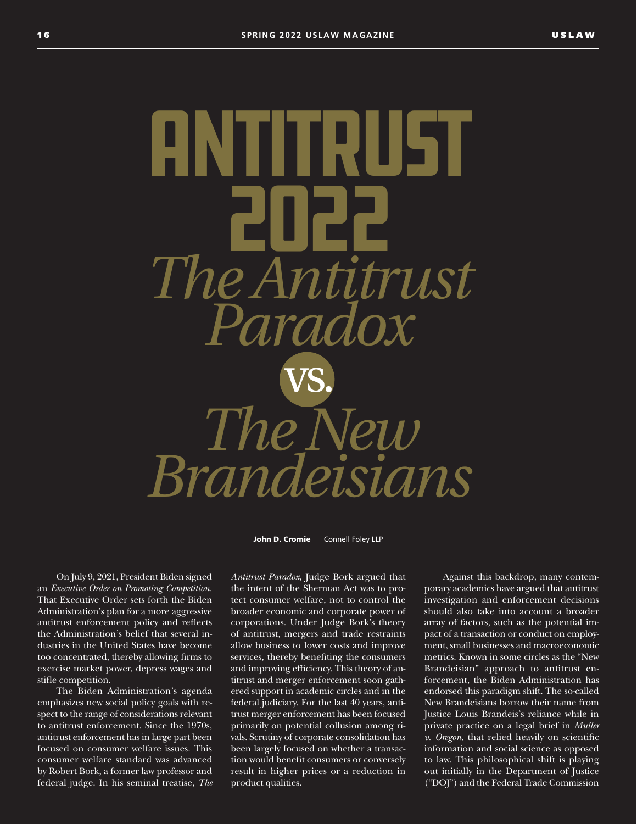Antitrust 2022 *The Antitrust Paradox* vs.  $The$   $N$ *Brandeisians*

John D. Cromie Connell Foley LLP

On July 9, 2021, President Biden signed an *Executive Order on Promoting Competition*. That Executive Order sets forth the Biden Administration's plan for a more aggressive antitrust enforcement policy and reflects the Administration's belief that several industries in the United States have become too concentrated, thereby allowing firms to exercise market power, depress wages and stifle competition.

The Biden Administration's agenda emphasizes new social policy goals with respect to the range of considerations relevant to antitrust enforcement. Since the 1970s, antitrust enforcement has in large part been focused on consumer welfare issues. This consumer welfare standard was advanced by Robert Bork, a former law professor and federal judge. In his seminal treatise, *The* 

*Antitrust Paradox*, Judge Bork argued that the intent of the Sherman Act was to protect consumer welfare, not to control the broader economic and corporate power of corporations. Under Judge Bork's theory of antitrust, mergers and trade restraints allow business to lower costs and improve services, thereby benefiting the consumers and improving efficiency. This theory of antitrust and merger enforcement soon gathered support in academic circles and in the federal judiciary. For the last 40 years, antitrust merger enforcement has been focused primarily on potential collusion among rivals. Scrutiny of corporate consolidation has been largely focused on whether a transaction would benefit consumers or conversely result in higher prices or a reduction in product qualities.

Against this backdrop, many contemporary academics have argued that antitrust investigation and enforcement decisions should also take into account a broader array of factors, such as the potential impact of a transaction or conduct on employment, small businesses and macroeconomic metrics. Known in some circles as the "New Brandeisian" approach to antitrust enforcement, the Biden Administration has endorsed this paradigm shift. The so-called New Brandeisians borrow their name from Justice Louis Brandeis's reliance while in private practice on a legal brief in *Muller v. Oregon*, that relied heavily on scientific information and social science as opposed to law. This philosophical shift is playing out initially in the Department of Justice ("DOJ") and the Federal Trade Commission